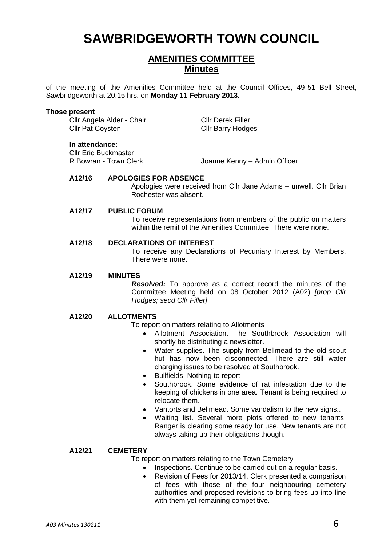# **SAWBRIDGEWORTH TOWN COUNCIL**

## **AMENITIES COMMITTEE Minutes**

of the meeting of the Amenities Committee held at the Council Offices, 49-51 Bell Street, Sawbridgeworth at 20.15 hrs. on **Monday 11 February 2013.**

#### **Those present**

Cllr Angela Alder - Chair Cllr Derek Filler Cllr Pat Coysten Cllr Barry Hodges

#### **In attendance:**

**Cllr Eric Buckmaster<br>R Bowran - Town Clerk** 

Joanne Kenny – Admin Officer

### **A12/16 APOLOGIES FOR ABSENCE**

Apologies were received from Cllr Jane Adams – unwell. Cllr Brian Rochester was absent.

#### **A12/17 PUBLIC FORUM**

To receive representations from members of the public on matters within the remit of the Amenities Committee. There were none.

#### **A12/18 DECLARATIONS OF INTEREST**

To receive any Declarations of Pecuniary Interest by Members. There were none.

#### **A12/19 MINUTES**

*Resolved:* To approve as a correct record the minutes of the Committee Meeting held on 08 October 2012 (A02) *[prop Cllr Hodges; secd Cllr Filler]*

#### **A12/20 ALLOTMENTS**

- To report on matters relating to Allotments
	- Allotment Association. The Southbrook Association will shortly be distributing a newsletter.
	- Water supplies. The supply from Bellmead to the old scout hut has now been disconnected. There are still water charging issues to be resolved at Southbrook.
	- Bullfields. Nothing to report
	- Southbrook. Some evidence of rat infestation due to the keeping of chickens in one area. Tenant is being required to relocate them.
	- Vantorts and Bellmead. Some vandalism to the new signs..
	- Waiting list. Several more plots offered to new tenants. Ranger is clearing some ready for use. New tenants are not always taking up their obligations though.

#### **A12/21 CEMETERY**

To report on matters relating to the Town Cemetery

- Inspections. Continue to be carried out on a regular basis.
- Revision of Fees for 2013/14. Clerk presented a comparison of fees with those of the four neighbouring cemetery authorities and proposed revisions to bring fees up into line with them yet remaining competitive.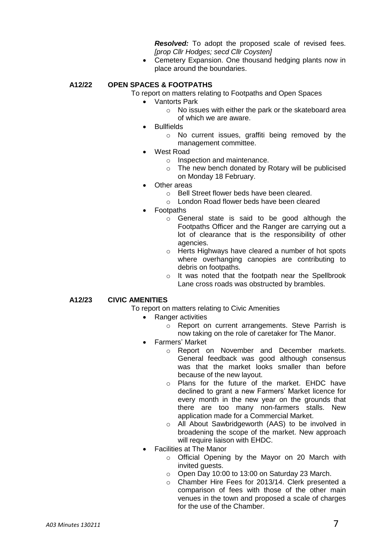*Resolved:* To adopt the proposed scale of revised fees. *[prop Cllr Hodges; secd Cllr Coysten]*

• Cemetery Expansion. One thousand hedging plants now in place around the boundaries.

#### **A12/22 OPEN SPACES & FOOTPATHS**

To report on matters relating to Footpaths and Open Spaces

- Vantorts Park
	- o No issues with either the park or the skateboard area of which we are aware.
- Bullfields
	- o No current issues, graffiti being removed by the management committee.
- West Road
	- o Inspection and maintenance.
	- o The new bench donated by Rotary will be publicised on Monday 18 February.
- Other areas
	- o Bell Street flower beds have been cleared.
	- o London Road flower beds have been cleared
- Footpaths
	- o General state is said to be good although the Footpaths Officer and the Ranger are carrying out a lot of clearance that is the responsibility of other agencies.
	- o Herts Highways have cleared a number of hot spots where overhanging canopies are contributing to debris on footpaths.
	- o It was noted that the footpath near the Spellbrook Lane cross roads was obstructed by brambles.

#### **A12/23 CIVIC AMENITIES**

- To report on matters relating to Civic Amenities
	- Ranger activities
		- o Report on current arrangements. Steve Parrish is now taking on the role of caretaker for The Manor.
		- Farmers' Market
			- o Report on November and December markets. General feedback was good although consensus was that the market looks smaller than before because of the new layout.
			- o Plans for the future of the market. EHDC have declined to grant a new Farmers' Market licence for every month in the new year on the grounds that there are too many non-farmers stalls. New application made for a Commercial Market.
			- o All About Sawbridgeworth (AAS) to be involved in broadening the scope of the market. New approach will require liaison with EHDC.
		- Facilities at The Manor
			- o Official Opening by the Mayor on 20 March with invited guests.
			- o Open Day 10:00 to 13:00 on Saturday 23 March.
			- o Chamber Hire Fees for 2013/14. Clerk presented a comparison of fees with those of the other main venues in the town and proposed a scale of charges for the use of the Chamber.